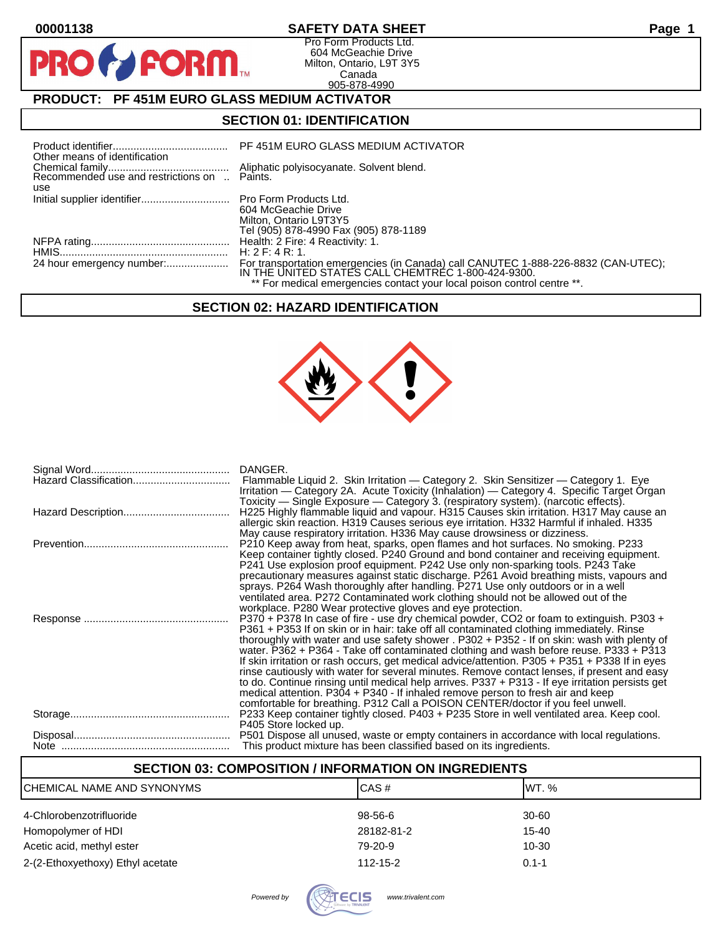PR

## **00001138 SAFETY DATA SHEET Page 1**

Pro Form Products Ltd. 604 McGeachie Drive Milton, Ontario, L9T 3Y5 Canada 905-878-4990

# **PRODUCT: PF 451M EURO GLASS MEDIUM ACTIVATOR**

**FORM.** 

#### **SECTION 01: IDENTIFICATION**

| Other means of identification                       | PF 451M EURO GLASS MEDIUM ACTIVATOR                                                                                                      |
|-----------------------------------------------------|------------------------------------------------------------------------------------------------------------------------------------------|
| Recommended use and restrictions on  Paints.<br>use | Aliphatic polyisocyanate. Solvent blend.                                                                                                 |
|                                                     | 604 McGeachie Drive<br>Milton, Ontario L9T3Y5<br>Tel (905) 878-4990 Fax (905) 878-1189                                                   |
|                                                     | H: 2F: 4R: 1                                                                                                                             |
|                                                     | For transportation emergencies (in Canada) call CANUTEC 1-888-226-8832 (CAN-UTEC);<br>IN THE UNITED STATES CALL CHEMTREC 1-800-424-9300. |
|                                                     | ** For medical emergencies contact your local poison control centre **.                                                                  |

## **SECTION 02: HAZARD IDENTIFICATION**



| Hazard Classification | DANGER.<br>Flammable Liquid 2. Skin Irritation — Category 2. Skin Sensitizer — Category 1. Eye<br>Irritation — Category 2A. Acute Toxicity (Inhalation) — Category 4. Specific Target Organ                                                                                                                                                                                                                                                                                                                                                                                                                                                                                                                                                                                                                                                              |
|-----------------------|----------------------------------------------------------------------------------------------------------------------------------------------------------------------------------------------------------------------------------------------------------------------------------------------------------------------------------------------------------------------------------------------------------------------------------------------------------------------------------------------------------------------------------------------------------------------------------------------------------------------------------------------------------------------------------------------------------------------------------------------------------------------------------------------------------------------------------------------------------|
|                       | Toxicity — Single Exposure — Category 3. (respiratory system). (narcotic effects).<br>H225 Highly flammable liquid and vapour. H315 Causes skin irritation. H317 May cause an<br>allergic skin reaction. H319 Causes serious eye irritation. H332 Harmful if inhaled. H335<br>May cause respiratory irritation. H336 May cause drowsiness or dizziness.                                                                                                                                                                                                                                                                                                                                                                                                                                                                                                  |
|                       | P210 Keep away from heat, sparks, open flames and hot surfaces. No smoking. P233<br>Keep container tightly closed. P240 Ground and bond container and receiving equipment.<br>P241 Use explosion proof equipment. P242 Use only non-sparking tools. P243 Take<br>precautionary measures against static discharge. P261 Avoid breathing mists, vapours and<br>sprays. P264 Wash thoroughly after handling. P271 Use only outdoors or in a well<br>ventilated area. P272 Contaminated work clothing should not be allowed out of the<br>workplace. P280 Wear protective gloves and eye protection.                                                                                                                                                                                                                                                         |
|                       | P370 + P378 In case of fire - use dry chemical powder, CO2 or foam to extinguish. P303 +<br>P361 + P353 If on skin or in hair: take off all contaminated clothing immediately. Rinse<br>thoroughly with water and use safety shower . P302 + P352 - If on skin: wash with plenty of<br>water. P362 + P364 - Take off contaminated clothing and wash before reuse. P333 + P313<br>If skin irritation or rash occurs, get medical advice/attention. P305 + P351 + P338 If in eyes<br>rinse cautiously with water for several minutes. Remove contact lenses, if present and easy<br>to do. Continue rinsing until medical help arrives. P337 + P313 - If eye irritation persists get<br>medical attention. P304 + P340 - If inhaled remove person to fresh air and keep<br>comfortable for breathing. P312 Call a POISON CENTER/doctor if you feel unwell. |
|                       | P233 Keep container tightly closed. P403 + P235 Store in well ventilated area. Keep cool.<br>P405 Store locked up.                                                                                                                                                                                                                                                                                                                                                                                                                                                                                                                                                                                                                                                                                                                                       |
|                       | P501 Dispose all unused, waste or empty containers in accordance with local regulations.<br>This product mixture has been classified based on its ingredients.                                                                                                                                                                                                                                                                                                                                                                                                                                                                                                                                                                                                                                                                                           |

| <b>SECTION 03: COMPOSITION / INFORMATION ON INGREDIENTS</b> |            |           |
|-------------------------------------------------------------|------------|-----------|
| CHEMICAL NAME AND SYNONYMS                                  | ICAS#      | IWT. %    |
| 4-Chlorobenzotrifluoride                                    | 98-56-6    | 30-60     |
| Homopolymer of HDI                                          | 28182-81-2 | $15 - 40$ |
| Acetic acid, methyl ester                                   | 79-20-9    | $10 - 30$ |
| 2-(2-Ethoxyethoxy) Ethyl acetate                            | 112-15-2   | $0.1 - 1$ |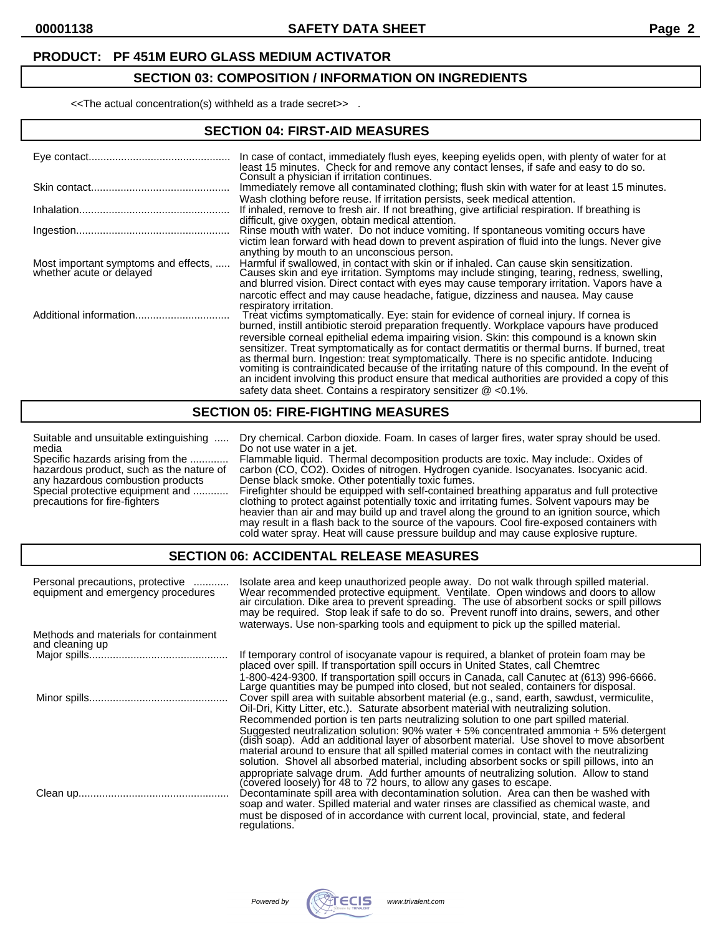# **SECTION 03: COMPOSITION / INFORMATION ON INGREDIENTS**

<<The actual concentration(s) withheld as a trade secret>> .

#### **SECTION 04: FIRST-AID MEASURES**

|                                                                  | In case of contact, immediately flush eyes, keeping eyelids open, with plenty of water for at<br>least 15 minutes. Check for and remove any contact lenses, if safe and easy to do so.<br>Consult a physician if irritation continues.                                                                                                                                                                                                                            |
|------------------------------------------------------------------|-------------------------------------------------------------------------------------------------------------------------------------------------------------------------------------------------------------------------------------------------------------------------------------------------------------------------------------------------------------------------------------------------------------------------------------------------------------------|
|                                                                  | Immediately remove all contaminated clothing; flush skin with water for at least 15 minutes.                                                                                                                                                                                                                                                                                                                                                                      |
|                                                                  | Wash clothing before reuse. If irritation persists, seek medical attention.<br>If inhaled, remove to fresh air. If not breathing, give artificial respiration. If breathing is<br>difficult, give oxygen, obtain medical attention.                                                                                                                                                                                                                               |
|                                                                  | Rinse mouth with water. Do not induce vomiting. If spontaneous vomiting occurs have                                                                                                                                                                                                                                                                                                                                                                               |
| Most important symptoms and effects,<br>whether acute or delayed | victim lean forward with head down to prevent aspiration of fluid into the lungs. Never give<br>anything by mouth to an unconscious person.<br>Harmful if swallowed, in contact with skin or if inhaled. Can cause skin sensitization.<br>Causes skin and eye irritation. Symptoms may include stinging, tearing, redness, swelling,<br>and blurred vision. Direct contact with eyes may cause temporary irritation. Vapors have a                                |
|                                                                  | narcotic effect and may cause headache, fatigue, dizziness and nausea. May cause<br>respiratory irritation.<br>Treat victims symptomatically. Eye: stain for evidence of corneal injury. If cornea is<br>burned, instill antibiotic steroid preparation frequently. Workplace vapours have produced<br>reversible corneal epithelial edema impairing vision. Skin: this compound is a known skin                                                                  |
|                                                                  | sensitizer. Treat symptomatically as for contact dermatitis or thermal burns. If burned, treat<br>as thermal burn. Ingestion: treat symptomatically. There is no specific antidote. Inducing<br>vomiting is contraindicated because of the irritating nature of this compound. In the event of<br>an incident involving this product ensure that medical authorities are provided a copy of this<br>safety data sheet. Contains a respiratory sensitizer @ <0.1%. |

### **SECTION 05: FIRE-FIGHTING MEASURES**

Suitable and unsuitable extinguishing ..... Dry chemical. Carbon dioxide. Foam. In cases of larger fires, water spray should be used. media Do not use water in a jet.<br>Specific hazards arising from the ............. Flammable liquid. Therm Specific hazards arising from the ............. Flammable liquid. Thermal decomposition products are toxic. May include:. Oxides of hazardous product, such as the nature of carbon (CO, CO2). Oxides of nitrogen. Hydrogen cyanide. Isocyanates. Isocyanic acid. any hazardous combustion products Dense black smoke. Other potentially toxic fumes. Special protective equipment and ............ Firefighter should be equipped with self-contained breathing apparatus and full protective<br>precautions for fire-fighters clothing to protect against potentially toxic and irrit clothing to protect against potentially toxic and irritating fumes. Solvent vapours may be heavier than air and may build up and travel along the ground to an ignition source, which may result in a flash back to the source of the vapours. Cool fire-exposed containers with

#### **SECTION 06: ACCIDENTAL RELEASE MEASURES**

| Personal precautions, protective<br>equipment and emergency procedures | Isolate area and keep unauthorized people away. Do not walk through spilled material.<br>Wear recommended protective equipment. Ventilate. Open windows and doors to allow<br>air circulation. Dike area to prevent spreading. The use of absorbent socks or spill pillows<br>may be required. Stop leak if safe to do so. Prevent runoff into drains, sewers, and other<br>waterways. Use non-sparking tools and equipment to pick up the spilled material.           |
|------------------------------------------------------------------------|------------------------------------------------------------------------------------------------------------------------------------------------------------------------------------------------------------------------------------------------------------------------------------------------------------------------------------------------------------------------------------------------------------------------------------------------------------------------|
| Methods and materials for containment<br>and cleaning up               |                                                                                                                                                                                                                                                                                                                                                                                                                                                                        |
|                                                                        | If temporary control of isocyanate vapour is required, a blanket of protein foam may be<br>placed over spill. If transportation spill occurs in United States, call Chemtrec                                                                                                                                                                                                                                                                                           |
|                                                                        | 1-800-424-9300. If transportation spill occurs in Canada, call Canutec at (613) 996-6666.<br>Large quantities may be pumped into closed, but not sealed, containers for disposal.                                                                                                                                                                                                                                                                                      |
|                                                                        | Cover spill area with suitable absorbent material (e.g., sand, earth, sawdust, vermiculite,<br>Oil-Dri, Kitty Litter, etc.). Saturate absorbent material with neutralizing solution.                                                                                                                                                                                                                                                                                   |
|                                                                        | Recommended portion is ten parts neutralizing solution to one part spilled material.<br>Suggested neutralization solution: 90% water + 5% concentrated ammonia + 5% detergent<br>(dish soap). Add an additional layer of absorbent material. Use shovel to move absorbent<br>material around to ensure that all spilled material comes in contact with the neutralizing<br>solution. Shovel all absorbed material, including absorbent socks or spill pillows, into an |
|                                                                        | appropriate salvage drum. Add further amounts of neutralizing solution. Allow to stand<br>(covered loosely) for 48 to 72 hours, to allow any gases to escape.                                                                                                                                                                                                                                                                                                          |
|                                                                        | Decontaminate spill area with decontamination solution. Area can then be washed with<br>soap and water. Spilled material and water rinses are classified as chemical waste, and                                                                                                                                                                                                                                                                                        |
|                                                                        | must be disposed of in accordance with current local, provincial, state, and federal<br>regulations.                                                                                                                                                                                                                                                                                                                                                                   |



cold water spray. Heat will cause pressure buildup and may cause explosive rupture.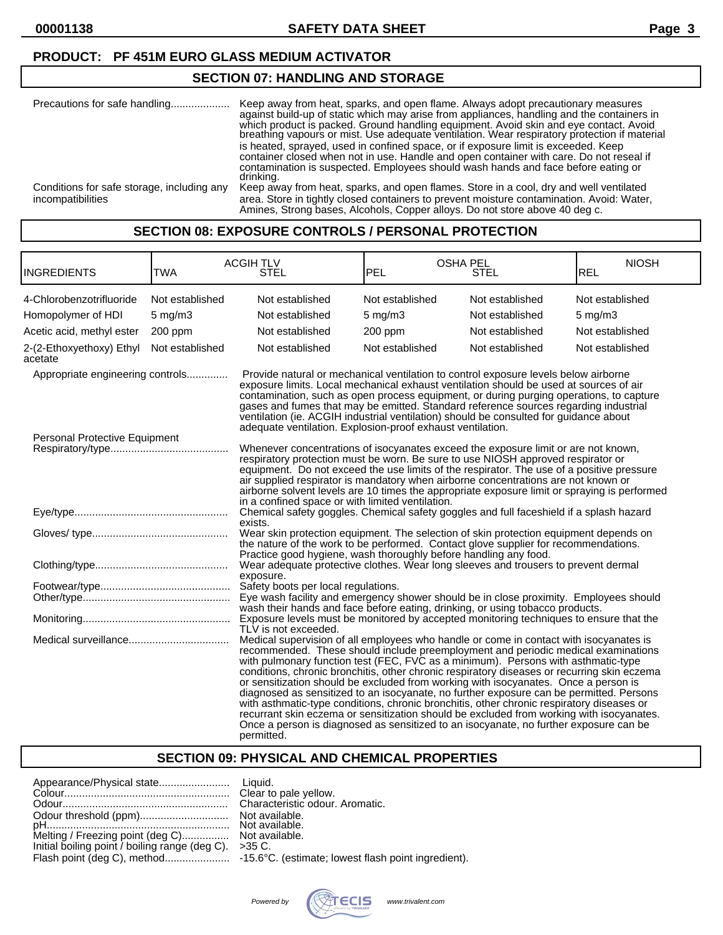#### **SECTION 07: HANDLING AND STORAGE**

| Precautions for safe handling                                   | Keep away from heat, sparks, and open flame. Always adopt precautionary measures<br>against build-up of static which may arise from appliances, handling and the containers in<br>which product is packed. Ground handling equipment. Avoid skin and eye contact. Avoid<br>breathing vapours or mist. Use adequate ventilation. Wear respiratory protection if material<br>is heated, sprayed, used in confined space, or if exposure limit is exceeded. Keep<br>container closed when not in use. Handle and open container with care. Do not reseal if<br>contamination is suspected. Employees should wash hands and face before eating or<br>drinking. |
|-----------------------------------------------------------------|------------------------------------------------------------------------------------------------------------------------------------------------------------------------------------------------------------------------------------------------------------------------------------------------------------------------------------------------------------------------------------------------------------------------------------------------------------------------------------------------------------------------------------------------------------------------------------------------------------------------------------------------------------|
| Conditions for safe storage, including any<br>incompatibilities | Keep away from heat, sparks, and open flames. Store in a cool, dry and well ventilated<br>area. Store in tightly closed containers to prevent moisture contamination. Avoid: Water,<br>Amines, Strong bases, Alcohols, Copper alloys. Do not store above 40 deg c.                                                                                                                                                                                                                                                                                                                                                                                         |

#### **SECTION 08: EXPOSURE CONTROLS / PERSONAL PROTECTION**

| <b>INGREDIENTS</b>                  | TWA             | <b>ACGIHTLV</b><br><b>STEL</b>                                                                                                                                                                                                                                                                                                                                                                                                                                                                                                                                                                                                                                                                                                                                                                                                                    | <b>OSHA PEL</b><br><b>PEL</b>                                                                                                                                                                                                                    | STEL            | <b>NIOSH</b><br><b>REL</b> |
|-------------------------------------|-----------------|---------------------------------------------------------------------------------------------------------------------------------------------------------------------------------------------------------------------------------------------------------------------------------------------------------------------------------------------------------------------------------------------------------------------------------------------------------------------------------------------------------------------------------------------------------------------------------------------------------------------------------------------------------------------------------------------------------------------------------------------------------------------------------------------------------------------------------------------------|--------------------------------------------------------------------------------------------------------------------------------------------------------------------------------------------------------------------------------------------------|-----------------|----------------------------|
| 4-Chlorobenzotrifluoride            | Not established | Not established                                                                                                                                                                                                                                                                                                                                                                                                                                                                                                                                                                                                                                                                                                                                                                                                                                   | Not established                                                                                                                                                                                                                                  | Not established | Not established            |
| Homopolymer of HDI                  | $5$ mg/m $3$    | Not established                                                                                                                                                                                                                                                                                                                                                                                                                                                                                                                                                                                                                                                                                                                                                                                                                                   | $5$ mg/m $3$                                                                                                                                                                                                                                     | Not established | $5$ mg/m $3$               |
| Acetic acid, methyl ester           | 200 ppm         | Not established                                                                                                                                                                                                                                                                                                                                                                                                                                                                                                                                                                                                                                                                                                                                                                                                                                   | 200 ppm                                                                                                                                                                                                                                          | Not established | Not established            |
| 2-(2-Ethoxyethoxy) Ethyl<br>acetate | Not established | Not established                                                                                                                                                                                                                                                                                                                                                                                                                                                                                                                                                                                                                                                                                                                                                                                                                                   | Not established                                                                                                                                                                                                                                  | Not established | Not established            |
| Appropriate engineering controls    |                 | Provide natural or mechanical ventilation to control exposure levels below airborne<br>exposure limits. Local mechanical exhaust ventilation should be used at sources of air<br>contamination, such as open process equipment, or during purging operations, to capture<br>gases and fumes that may be emitted. Standard reference sources regarding industrial<br>ventilation (ie. ACGIH industrial ventilation) should be consulted for guidance about<br>adequate ventilation. Explosion-proof exhaust ventilation.                                                                                                                                                                                                                                                                                                                           |                                                                                                                                                                                                                                                  |                 |                            |
| Personal Protective Equipment       |                 |                                                                                                                                                                                                                                                                                                                                                                                                                                                                                                                                                                                                                                                                                                                                                                                                                                                   |                                                                                                                                                                                                                                                  |                 |                            |
|                                     |                 | Whenever concentrations of isocyanates exceed the exposure limit or are not known,<br>respiratory protection must be worn. Be sure to use NIOSH approved respirator or<br>equipment. Do not exceed the use limits of the respirator. The use of a positive pressure<br>air supplied respirator is mandatory when airborne concentrations are not known or<br>airborne solvent levels are 10 times the appropriate exposure limit or spraying is performed<br>in a confined space or with limited ventilation.                                                                                                                                                                                                                                                                                                                                     |                                                                                                                                                                                                                                                  |                 |                            |
|                                     |                 | Chemical safety goggles. Chemical safety goggles and full faceshield if a splash hazard<br>exists.                                                                                                                                                                                                                                                                                                                                                                                                                                                                                                                                                                                                                                                                                                                                                |                                                                                                                                                                                                                                                  |                 |                            |
|                                     |                 |                                                                                                                                                                                                                                                                                                                                                                                                                                                                                                                                                                                                                                                                                                                                                                                                                                                   | Wear skin protection equipment. The selection of skin protection equipment depends on<br>the nature of the work to be performed. Contact glove supplier for recommendations.<br>Practice good hygiene, wash thoroughly before handling any food. |                 |                            |
|                                     |                 | Wear adequate protective clothes. Wear long sleeves and trousers to prevent dermal<br>exposure.                                                                                                                                                                                                                                                                                                                                                                                                                                                                                                                                                                                                                                                                                                                                                   |                                                                                                                                                                                                                                                  |                 |                            |
|                                     |                 | Safety boots per local regulations.<br>Eye wash facility and emergency shower should be in close proximity. Employees should<br>wash their hands and face before eating, drinking, or using tobacco products.                                                                                                                                                                                                                                                                                                                                                                                                                                                                                                                                                                                                                                     |                                                                                                                                                                                                                                                  |                 |                            |
|                                     |                 | Exposure levels must be monitored by accepted monitoring techniques to ensure that the<br>TLV is not exceeded.                                                                                                                                                                                                                                                                                                                                                                                                                                                                                                                                                                                                                                                                                                                                    |                                                                                                                                                                                                                                                  |                 |                            |
|                                     |                 | Medical supervision of all employees who handle or come in contact with isocyanates is<br>recommended. These should include preemployment and periodic medical examinations<br>with pulmonary function test (FEC, FVC as a minimum). Persons with asthmatic-type<br>conditions, chronic bronchitis, other chronic respiratory diseases or recurring skin eczema<br>or sensitization should be excluded from working with isocyanates. Once a person is<br>diagnosed as sensitized to an isocyanate, no further exposure can be permitted. Persons<br>with asthmatic-type conditions, chronic bronchitis, other chronic respiratory diseases or<br>recurrant skin eczema or sensitization should be excluded from working with isocyanates.<br>Once a person is diagnosed as sensitized to an isocyanate, no further exposure can be<br>permitted. |                                                                                                                                                                                                                                                  |                 |                            |

### **SECTION 09: PHYSICAL AND CHEMICAL PROPERTIES**

| Melting / Freezing point (deg C) Not available.<br>Initial boiling point / boiling range (deg C). > 35 C. |  |
|-----------------------------------------------------------------------------------------------------------|--|
|                                                                                                           |  |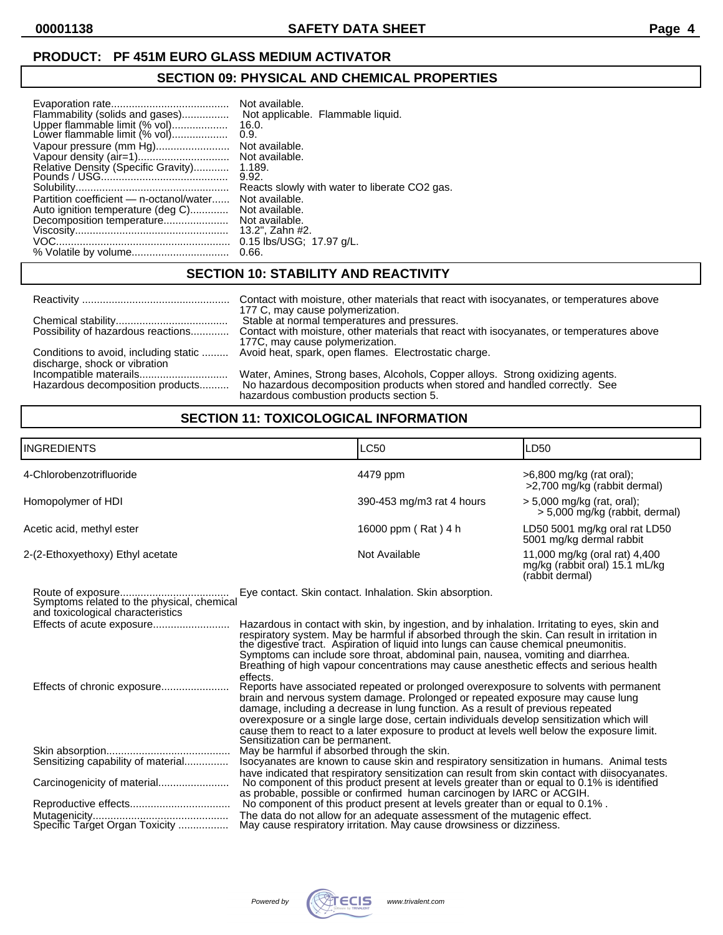### **SECTION 09: PHYSICAL AND CHEMICAL PROPERTIES**

|                                                                | Not available.                                |
|----------------------------------------------------------------|-----------------------------------------------|
| Flammability (solids and gases)                                | Not applicable. Flammable liquid.             |
| Upper flammable limit (% vol)<br>Lower flammable limit (% vol) | 16.0.                                         |
|                                                                | 0.9.                                          |
| Vapour pressure (mm Hg)                                        | Not available.                                |
|                                                                | Not available.                                |
| Relative Density (Specific Gravity)                            | 1.189.                                        |
|                                                                | 9.92.                                         |
|                                                                | Reacts slowly with water to liberate CO2 gas. |
| Partition coefficient — n-octanol/water                        | Not available.                                |
| Auto ignition temperature (deg C)                              | Not available.                                |
| Decomposition temperature                                      | Not available.                                |
|                                                                | 13.2", Zahn #2.                               |
|                                                                | 0.15 lbs/USG; 17.97 g/L.                      |
|                                                                | 0.66.                                         |

# **SECTION 10: STABILITY AND REACTIVITY**

|                                                                        | Contact with moisture, other materials that react with isocyanates, or temperatures above                                                                                                                |
|------------------------------------------------------------------------|----------------------------------------------------------------------------------------------------------------------------------------------------------------------------------------------------------|
|                                                                        | 177 C, may cause polymerization.<br>Stable at normal temperatures and pressures.                                                                                                                         |
| Possibility of hazardous reactions                                     | Contact with moisture, other materials that react with isocyanates, or temperatures above<br>177C, may cause polymerization.                                                                             |
| Conditions to avoid, including static<br>discharge, shock or vibration | Avoid heat, spark, open flames. Electrostatic charge.                                                                                                                                                    |
| Hazardous decomposition products                                       | Water, Amines, Strong bases, Alcohols, Copper alloys. Strong oxidizing agents.<br>No hazardous decomposition products when stored and handled correctly. See<br>hazardous combustion products section 5. |

# **SECTION 11: TOXICOLOGICAL INFORMATION**

| INGREDIENTS                      | LC50                      | LD50                                                                               |
|----------------------------------|---------------------------|------------------------------------------------------------------------------------|
| 4-Chlorobenzotrifluoride         | 4479 ppm                  | $>6,800$ mg/kg (rat oral);<br>>2,700 mg/kg (rabbit dermal)                         |
| Homopolymer of HDI               | 390-453 mg/m3 rat 4 hours | $>$ 5,000 mg/kg (rat, oral);<br>> 5,000 mg/kg (rabbit, dermal)                     |
| Acetic acid, methyl ester        | 16000 ppm (Rat) 4 h       | LD50 5001 mg/kg oral rat LD50<br>5001 mg/kg dermal rabbit                          |
| 2-(2-Ethoxyethoxy) Ethyl acetate | Not Available             | 11,000 mg/kg (oral rat) 4,400<br>mg/kg (rabbit oral) 15.1 mL/kg<br>(rabbit dermal) |

| Symptoms related to the physical, chemical | Eye contact. Skin contact. Inhalation. Skin absorption.                                                                                                                                                                                                                                                                                                                                                                                                                                   |
|--------------------------------------------|-------------------------------------------------------------------------------------------------------------------------------------------------------------------------------------------------------------------------------------------------------------------------------------------------------------------------------------------------------------------------------------------------------------------------------------------------------------------------------------------|
| and toxicological characteristics          |                                                                                                                                                                                                                                                                                                                                                                                                                                                                                           |
| Effects of acute exposure                  | Hazardous in contact with skin, by ingestion, and by inhalation. Irritating to eyes, skin and<br>respiratory system. May be harmful if absorbed through the skin. Can result in irritation in<br>the digestive tract. Aspiration of liquid into lungs can cause chemical pneumonitis.<br>Symptoms can include sore throat, abdominal pain, nausea, vomiting and diarrhea.<br>Breathing of high vapour concentrations may cause anesthetic effects and serious health<br>effects.          |
|                                            | Reports have associated repeated or prolonged overexposure to solvents with permanent<br>brain and nervous system damage. Prolonged or repeated exposure may cause lung<br>damage, including a decrease in lung function. As a result of previous repeated<br>overexposure or a single large dose, certain individuals develop sensitization which will<br>cause them to react to a later exposure to product at levels well below the exposure limit.<br>Sensitization can be permanent. |
|                                            | May be harmful if absorbed through the skin.                                                                                                                                                                                                                                                                                                                                                                                                                                              |
| Sensitizing capability of material         | Isocyanates are known to cause skin and respiratory sensitization in humans. Animal tests                                                                                                                                                                                                                                                                                                                                                                                                 |
|                                            | have indicated that respiratory sensitization can result from skin contact with diisocyanates.<br>No component of this product present at levels greater than or equal to 0.1% is identified<br>as probable, possible or confirmed human carcinogen by IARC or ACGIH.                                                                                                                                                                                                                     |
|                                            | No component of this product present at levels greater than or equal to 0.1%.                                                                                                                                                                                                                                                                                                                                                                                                             |
| Specific Target Organ Toxicity             | The data do not allow for an adequate assessment of the mutagenic effect.<br>May cause respiratory irritation. May cause drowsiness or dizziness.                                                                                                                                                                                                                                                                                                                                         |